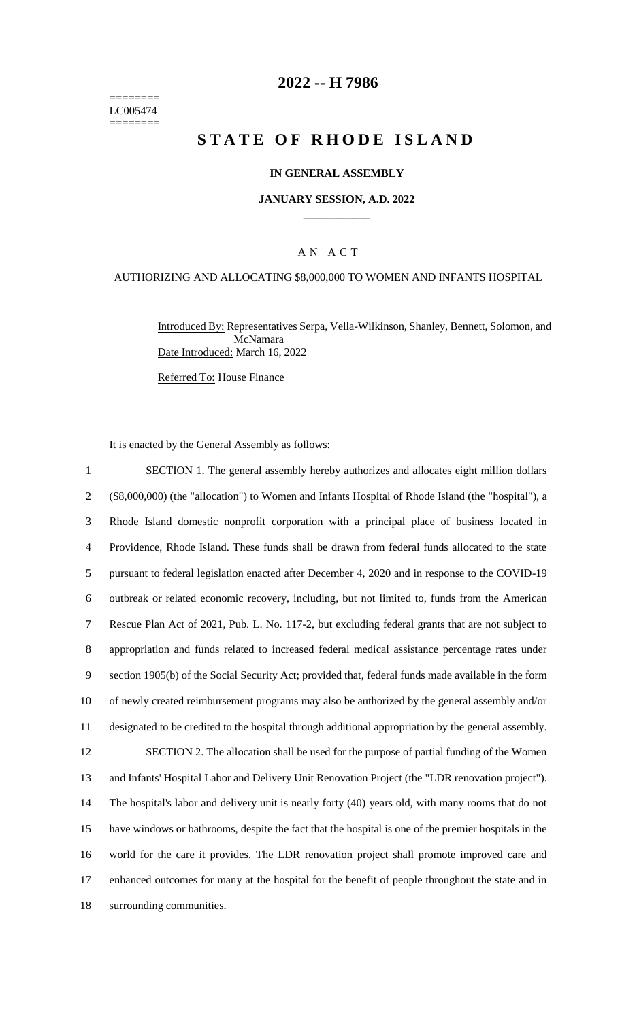======== LC005474 ========

## **2022 -- H 7986**

# **S T A T E O F R H O D E I S L A N D**

### **IN GENERAL ASSEMBLY**

#### **JANUARY SESSION, A.D. 2022 \_\_\_\_\_\_\_\_\_\_\_\_**

### A N A C T

#### AUTHORIZING AND ALLOCATING \$8,000,000 TO WOMEN AND INFANTS HOSPITAL

Introduced By: Representatives Serpa, Vella-Wilkinson, Shanley, Bennett, Solomon, and McNamara Date Introduced: March 16, 2022

Referred To: House Finance

It is enacted by the General Assembly as follows:

 SECTION 1. The general assembly hereby authorizes and allocates eight million dollars (\$8,000,000) (the "allocation") to Women and Infants Hospital of Rhode Island (the "hospital"), a Rhode Island domestic nonprofit corporation with a principal place of business located in Providence, Rhode Island. These funds shall be drawn from federal funds allocated to the state pursuant to federal legislation enacted after December 4, 2020 and in response to the COVID-19 outbreak or related economic recovery, including, but not limited to, funds from the American Rescue Plan Act of 2021, Pub. L. No. 117-2, but excluding federal grants that are not subject to appropriation and funds related to increased federal medical assistance percentage rates under section 1905(b) of the Social Security Act; provided that, federal funds made available in the form of newly created reimbursement programs may also be authorized by the general assembly and/or designated to be credited to the hospital through additional appropriation by the general assembly. SECTION 2. The allocation shall be used for the purpose of partial funding of the Women and Infants' Hospital Labor and Delivery Unit Renovation Project (the "LDR renovation project"). The hospital's labor and delivery unit is nearly forty (40) years old, with many rooms that do not have windows or bathrooms, despite the fact that the hospital is one of the premier hospitals in the world for the care it provides. The LDR renovation project shall promote improved care and enhanced outcomes for many at the hospital for the benefit of people throughout the state and in surrounding communities.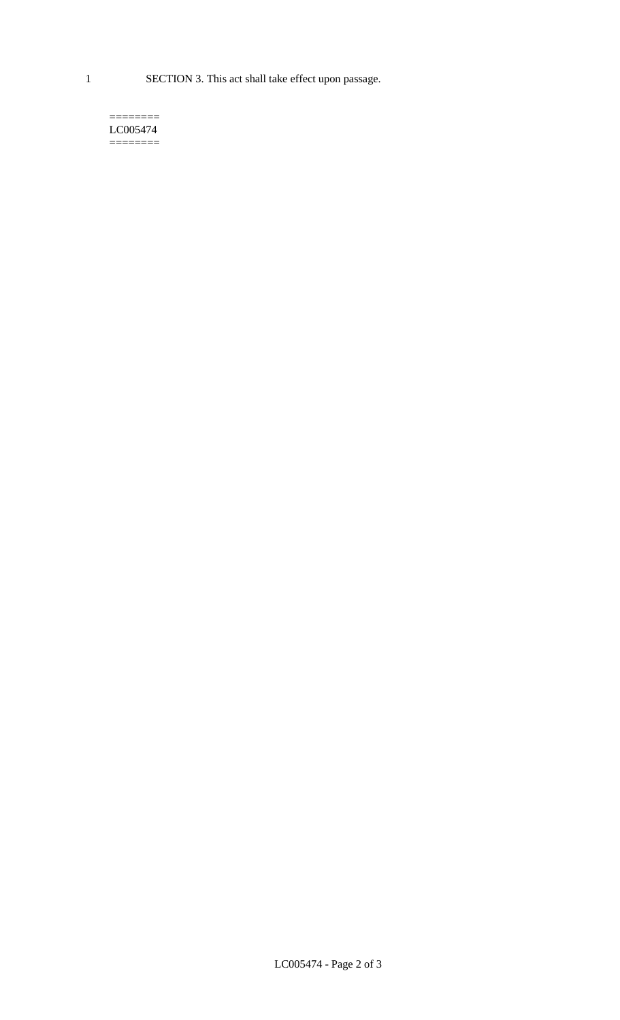1 SECTION 3. This act shall take effect upon passage.

#### $=$ LC005474 ========